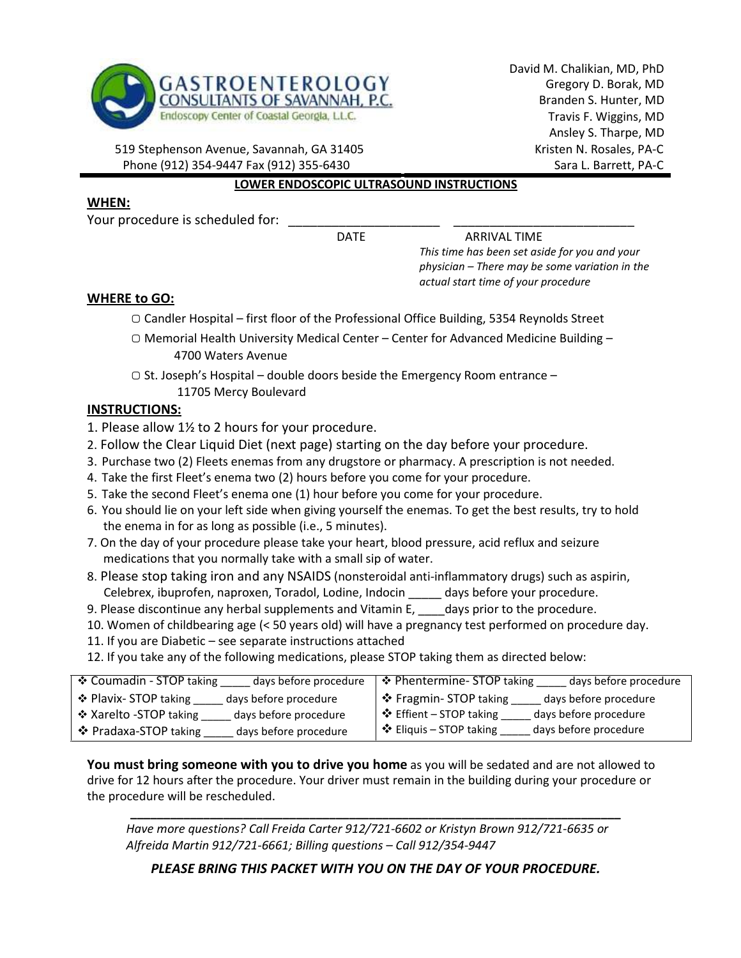

David M. Chalikian, MD, PhD Gregory D. Borak, MD Branden S. Hunter, MD Travis F. Wiggins, MD Ansley S. Tharpe, MD Kristen N. Rosales, PA-C Sara L. Barrett, PA-C

519 Stephenson Avenue, Savannah, GA 31405 Phone (912) 354-9447 Fax (912) 355-6430

#### LOWER ENDOSCOPIC ULTRASOUND INSTRUCTIONS

### WHEN:

Your procedure is scheduled for:

DATE ARRIVAL TIME

This time has been set aside for you and your physician – There may be some variation in the actual start time of your procedure

### WHERE to GO:

- ▢ Candler Hospital first floor of the Professional Office Building, 5354 Reynolds Street
- ▢ Memorial Health University Medical Center Center for Advanced Medicine Building 4700 Waters Avenue
- ▢ St. Joseph's Hospital double doors beside the Emergency Room entrance
	- 11705 Mercy Boulevard

# INSTRUCTIONS:

1. Please allow 1½ to 2 hours for your procedure.

- 2. Follow the Clear Liquid Diet (next page) starting on the day before your procedure.
- 3. Purchase two (2) Fleets enemas from any drugstore or pharmacy. A prescription is not needed.
- 4. Take the first Fleet's enema two (2) hours before you come for your procedure.
- 5. Take the second Fleet's enema one (1) hour before you come for your procedure.
- 6. You should lie on your left side when giving yourself the enemas. To get the best results, try to hold the enema in for as long as possible (i.e., 5 minutes).
- 7. On the day of your procedure please take your heart, blood pressure, acid reflux and seizure medications that you normally take with a small sip of water.
- 8. Please stop taking iron and any NSAIDS (nonsteroidal anti-inflammatory drugs) such as aspirin, Celebrex, ibuprofen, naproxen, Toradol, Lodine, Indocin \_\_\_\_\_ days before your procedure.
- 9. Please discontinue any herbal supplements and Vitamin E, days prior to the procedure.
- 10. Women of childbearing age (< 50 years old) will have a pregnancy test performed on procedure day.
- 11. If you are Diabetic see separate instructions attached
- 12. If you take any of the following medications, please STOP taking them as directed below:

| ❖ Coumadin - STOP taking | ❖ Phentermine- STOP taking |
|--------------------------|----------------------------|
| days before procedure    | days before procedure      |
| ❖ Plavix- STOP taking    | ↑ Fragmin-STOP taking      |
| days before procedure    | days before procedure      |
| ❖ Xarelto -STOP taking   | ❖ Effient – STOP taking    |
| days before procedure    | days before procedure      |
| ❖ Pradaxa-STOP taking    | ❖ Eliquis – STOP taking    |
| days before procedure    | days before procedure      |

You must bring someone with you to drive you home as you will be sedated and are not allowed to drive for 12 hours after the procedure. Your driver must remain in the building during your procedure or the procedure will be rescheduled.

\_\_\_\_\_\_\_\_\_\_\_\_\_\_\_\_\_\_\_\_\_\_\_\_\_\_\_\_\_\_\_\_\_\_\_\_\_\_\_\_\_\_\_\_\_\_\_\_\_\_\_\_\_\_\_\_\_\_\_\_\_\_\_\_\_\_\_\_\_\_\_\_\_\_

Have more questions? Call Freida Carter 912/721-6602 or Kristyn Brown 912/721-6635 or Alfreida Martin 912/721-6661; Billing questions – Call 912/354-9447

PLEASE BRING THIS PACKET WITH YOU ON THE DAY OF YOUR PROCEDURE.